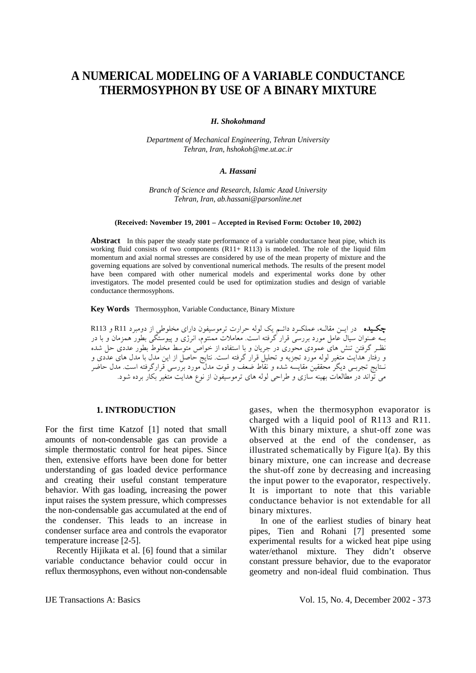# **A NUMERICAL MODELING OF A VARIABLE CONDUCTANCE THERMOSYPHON BY USE OF A BINARY MIXTURE**

*H. Shokohmand* 

*Department of Mechanical Engineering, Tehran University Tehran, Iran, hshokoh@me.ut.ac.ir* 

#### *A. Hassani*

*Branch of Science and Research, Islamic Azad University Tehran, Iran, ab.hassani@parsonline.net*

#### **(Received: November 19, 2001 – Accepted in Revised Form: October 10, 2002)**

**Abstract** In this paper the steady state performance of a variable conductance heat pipe, which its working fluid consists of two components  $(R11+ R113)$  is modeled. The role of the liquid film momentum and axial normal stresses are considered by use of the mean property of mixture and the governing equations are solved by conventional numerical methods. The results of the present model have been compared with other numerical models and experimental works done by other investigators. The model presented could be used for optimization studies and design of variable conductance thermosyphons.

**Key Words** Thermosyphon, Variable Conductance, Binary Mixture

چكـيده در ايـن مقالـه، عملكـرد دائـم يك لوله حرارت ترموسيفون داراي مخلوطي از دومبرد 11R و 113R بـه عـنوان سيال عامل مورد بررسي قرار گرفته است. معاملات ممنتوم، انرژي و پيوستگي بطور همزمان و با در نظـر گرفتن تنش هاي عمودي محوري در جريان و با استفاده از خواص متوسط مخلوط بطور عددي حل شده و رفتار هدايت متغير لوله مورد تجزيه و تحليل قرار گرفته است. نتايج حاصل از اين مدل با مدل هاي عددي و نـتايج تجربـي ديگر محققين مقايسه شده و نقاط ضعف و قوت مدل مورد بررسي قرارگرفته است. مدل حاضر مي تواند در مطالعات بهينه سازي و طراحي لوله هاي ترموسيفون از نوع هدايت متغير بكار برده شود.

#### **1. INTRODUCTION**

For the first time Katzof [1] noted that small amounts of non-condensable gas can provide a simple thermostatic control for heat pipes. Since then, extensive efforts have been done for better understanding of gas loaded device performance and creating their useful constant temperature behavior. With gas loading, increasing the power input raises the system pressure, which compresses the non-condensable gas accumulated at the end of the condenser. This leads to an increase in condenser surface area and controls the evaporator temperature increase [2-5].

 Recently Hijikata et al. [6] found that a similar variable conductance behavior could occur in reflux thermosyphons, even without non-condensable gases, when the thermosyphon evaporator is charged with a liquid pool of R113 and R11. With this binary mixture, a shut-off zone was observed at the end of the condenser, as illustrated schematically by Figure l(a). By this binary mixture, one can increase and decrease the shut-off zone by decreasing and increasing the input power to the evaporator, respectively. It is important to note that this variable conductance behavior is not extendable for all binary mixtures.

 In one of the earliest studies of binary heat pipes, Tien and Rohani [7] presented some experimental results for a wicked heat pipe using water/ethanol mixture. They didn't observe constant pressure behavior, due to the evaporator geometry and non-ideal fluid combination. Thus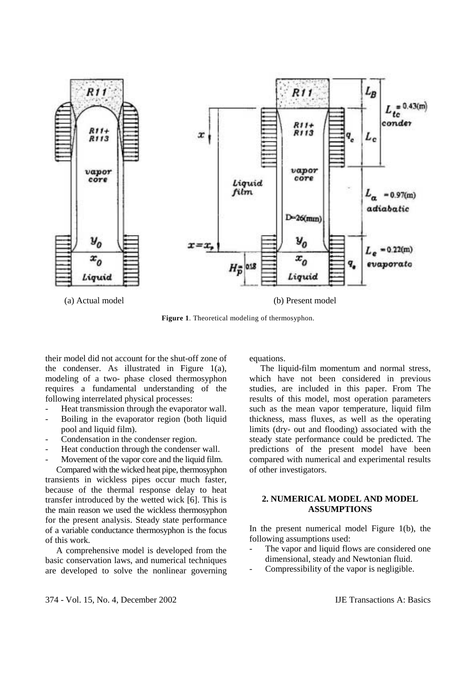

**Figure 1**. Theoretical modeling of thermosyphon.

their model did not account for the shut-off zone of the condenser. As illustrated in Figure 1(a), modeling of a two- phase closed thermosyphon requires a fundamental understanding of the following interrelated physical processes:

- Heat transmission through the evaporator wall.
- Boiling in the evaporator region (both liquid pool and liquid film).
- Condensation in the condenser region.
- Heat conduction through the condenser wall.
- Movement of the vapor core and the liquid film.

 Compared with the wicked heat pipe, thermosyphon transients in wickless pipes occur much faster, because of the thermal response delay to heat transfer introduced by the wetted wick [6]. This is the main reason we used the wickless thermosyphon for the present analysis. Steady state performance of a variable conductance thermosyphon is the focus of this work.

 A comprehensive model is developed from the basic conservation laws, and numerical techniques are developed to solve the nonlinear governing equations.

 The liquid-film momentum and normal stress, which have not been considered in previous studies, are included in this paper. From The results of this model, most operation parameters such as the mean vapor temperature, liquid film thickness, mass fluxes, as well as the operating limits (dry- out and flooding) associated with the steady state performance could be predicted. The predictions of the present model have been compared with numerical and experimental results of other investigators.

## **2. NUMERICAL MODEL AND MODEL ASSUMPTIONS**

In the present numerical model Figure 1(b), the following assumptions used:

- The vapor and liquid flows are considered one dimensional, steady and Newtonian fluid.
- Compressibility of the vapor is negligible.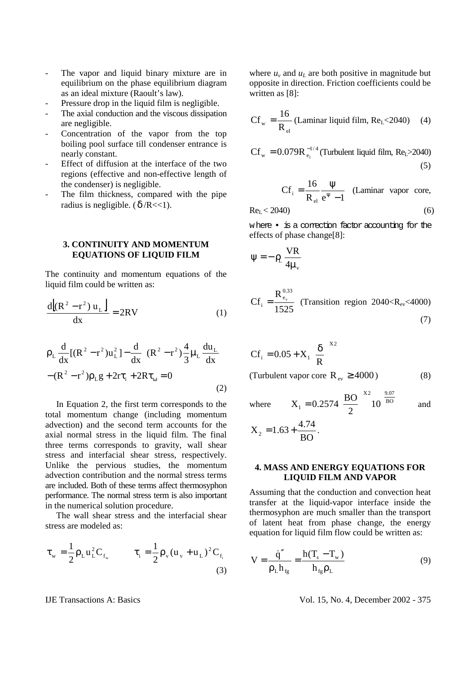- The vapor and liquid binary mixture are in equilibrium on the phase equilibrium diagram as an ideal mixture (Raoult's law).
- Pressure drop in the liquid film is negligible.
- The axial conduction and the viscous dissipation are negligible.
- Concentration of the vapor from the top boiling pool surface till condenser entrance is nearly constant.
- Effect of diffusion at the interface of the two regions (effective and non-effective length of the condenser) is negligible.
- The film thickness, compared with the pipe radius is negligible. ( $\delta$ /R<<1).

## **3. CONTINUITY AND MOMENTUM EQUATIONS OF LIQUID FILM**

The continuity and momentum equations of the liquid film could be written as:

$$
\frac{d[(R2 - r2) uL]}{dx} = 2RV
$$
 (1)

$$
\rho_{L} \frac{d}{dx} [(R^{2} - r^{2})u_{L}^{2}] - \frac{d}{dx} \left[ (R^{2} - r^{2}) \frac{4}{3} \mu_{L} \frac{du_{L}}{dx} \right] - (R^{2} - r^{2}) \rho_{L} g + 2r\tau_{i} + 2R\tau_{\omega} = 0
$$
\n(2)

 In Equation 2, the first term corresponds to the total momentum change (including momentum advection) and the second term accounts for the axial normal stress in the liquid film. The final three terms corresponds to gravity, wall shear stress and interfacial shear stress, respectively. Unlike the pervious studies, the momentum advection contribution and the normal stress terms are included. Both of these terms affect thermosyphon performance. The normal stress term is also important in the numerical solution procedure.

 The wall shear stress and the interfacial shear stress are modeled as:

$$
\tau_{w} = \frac{1}{2} \rho_{L} u_{L}^{2} C_{f_{w}} \qquad \tau_{i} = \frac{1}{2} \rho_{v} (u_{v} + u_{L})^{2} C_{f_{i}}
$$
\n(3)

where  $u<sub>v</sub>$  and  $u<sub>L</sub>$  are both positive in magnitude but opposite in direction. Friction coefficients could be written as [8]:

$$
Cf_w = \frac{16}{R_{el}}
$$
 (Laminar liquid film, Re<sub>L</sub>< 2040) (4)

$$
Cf_w = 0.079R_{e_1}^{-1/4} \text{(Turbulent liquid film, ReL>2040)}
$$
\n(5)

$$
Cf_i = \frac{16}{R_{el}} \frac{\Psi}{e^{\Psi} - 1}
$$
 (Laminar vapor core,

$$
\text{Re}_{\text{L}} < 2040 \tag{6}
$$

where • is a correction factor accounting for the effects of phase change[8]:

$$
\psi = -\rho_L \frac{VR}{4\mu_v}
$$

$$
Cf_i = \frac{R_{e_v}^{0.33}}{1525}
$$
 (Transition region 2040 $\langle R_{ev} \langle 4000 \rangle$  (7)

$$
Cf_i = 0.05 + X_1 \left(\frac{\delta}{R}\right)^{X2}
$$
  
(Turbulent vapor core R<sub>ev</sub>  $\ge$  4000) (8)

where 
$$
X_1 = 0.2574 \left(\frac{BO}{2}\right)^{X^2} 10^{\left(\frac{9.07}{BO}\right)}
$$
 and

$$
X_2 = 1.63 + \frac{4.74}{BO}.
$$

## **4. MASS AND ENERGY EQUATIONS FOR LIQUID FILM AND VAPOR**

Assuming that the conduction and convection heat transfer at the liquid-vapor interface inside the thermosyphon are much smaller than the transport of latent heat from phase change, the energy equation for liquid film flow could be written as:

$$
V = \frac{\dot{q}''}{\rho_L h_{fg}} = \frac{h(T_s - T_w)}{h_{fg} \rho_L}
$$
(9)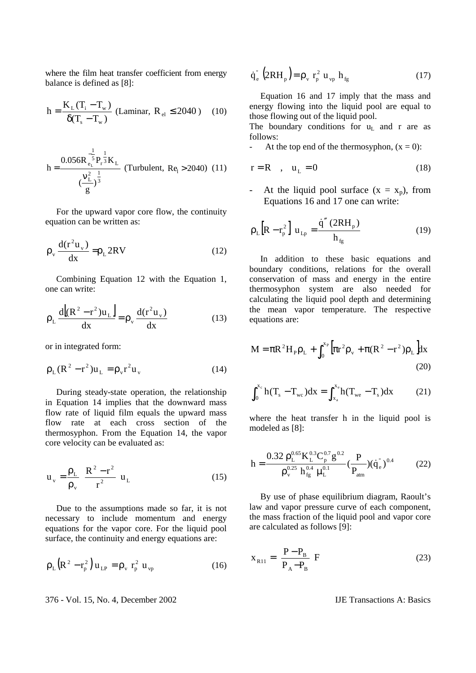where the film heat transfer coefficient from energy balance is defined as [8]:

$$
h = \frac{K_{L}(T_{i} - T_{w})}{\delta(T_{s} - T_{w})}
$$
 (Laminar,  $R_{el} \le 2040$ ) (10)

$$
h = \frac{0.056R_{e_L}^{\frac{1}{5}}P_r^{\frac{1}{3}}K_L}{(\frac{v_L^2}{g})^{\frac{1}{3}}} \text{ (Turbulent, Re1 > 2040) (11)}
$$

 For the upward vapor core flow, the continuity equation can be written as:

$$
\rho_{\rm v} \frac{d(r^2 u_{\rm v})}{dx} = \rho_{\rm L} 2RV \tag{12}
$$

 Combining Equation 12 with the Equation 1, one can write:

$$
\rho_{\rm L} \frac{d\left[\left(R^2 - r^2\right)u_{\rm L}\right]}{dx} = \rho_{\rm v} \frac{d\left(r^2 u_{\rm v}\right)}{dx} \tag{13}
$$

or in integrated form:

$$
\rho_{\rm L}(R^2 - r^2)u_{\rm L} = \rho_{\rm v}r^2u_{\rm v}
$$
 (14)

 During steady-state operation, the relationship in Equation 14 implies that the downward mass flow rate of liquid film equals the upward mass flow rate at each cross section of the thermosyphon. From the Equation 14, the vapor core velocity can be evaluated as:

$$
\mathbf{u}_{\mathrm{v}} = \frac{\rho_{\mathrm{L}}}{\rho_{\mathrm{v}}} \left( \frac{\mathbf{R}^2 - \mathbf{r}^2}{\mathbf{r}^2} \right) \mathbf{u}_{\mathrm{L}} \tag{15}
$$

 Due to the assumptions made so far, it is not necessary to include momentum and energy equations for the vapor core. For the liquid pool surface, the continuity and energy equations are:

$$
\rho_{L} (R^{2} - r_{p}^{2}) u_{LP} = \rho_{v} r_{p}^{2} u_{vp}
$$
 (16)

376 - Vol. 15, No. 4, December 2002 IJE Transactions A: Basics

$$
\dot{\mathbf{q}}_{\mathrm{e}}^{\mathrm{T}}\left(2\mathrm{RH}_{\mathrm{p}}\right)=\rho_{\mathrm{v}}\,\,\mathbf{r}_{\mathrm{p}}^{2}\,\,\mathbf{u}_{\mathrm{v}\mathrm{p}}\,\,\mathbf{h}_{\mathrm{fg}}\tag{17}
$$

 Equation 16 and 17 imply that the mass and energy flowing into the liquid pool are equal to those flowing out of the liquid pool.

The boundary conditions for  $u<sub>L</sub>$  and r are as follows:

At the top end of the thermosyphon,  $(x = 0)$ :

$$
r = R \quad , \quad u_L = 0 \tag{18}
$$

- At the liquid pool surface  $(x = x_p)$ , from Equations 16 and 17 one can write:

$$
\rho_{L} [R - r_{p}^{2}] u_{Lp} = \frac{\dot{q}'' (2RH_{p})}{h_{fg}}
$$
 (19)

 In addition to these basic equations and boundary conditions, relations for the overall conservation of mass and energy in the entire thermosyphon system are also needed for calculating the liquid pool depth and determining the mean vapor temperature. The respective equations are:

$$
M = \pi R^{2} H_{P} \rho_{L} + \int_{0}^{x_{P}} \left[ \pi r^{2} \rho_{v} + \pi (R^{2} - r^{2}) \rho_{L} \right] dx
$$
\n(20)

$$
\int_0^{x_c} h(T_s - T_{wc}) dx = \int_{x_a}^{x_e} h(T_{we} - T_s) dx \tag{21}
$$

where the heat transfer h in the liquid pool is modeled as [8]:

$$
h = \frac{0.32 \rho_L^{0.65} K_L^{0.3} C_p^{0.7} g^{0.2}}{\rho_v^{0.25} h_{fg}^{0.4} \mu_L^{0.1}} \left(\frac{P}{P_{atm}}\right) (\dot{q}_e)^{0.4} \tag{22}
$$

 By use of phase equilibrium diagram, Raoult's law and vapor pressure curve of each component, the mass fraction of the liquid pool and vapor core are calculated as follows [9]:

$$
\mathbf{x}_{\text{R11}} = \left[\frac{\mathbf{P} - \mathbf{P}_{\text{B}}}{\mathbf{P}_{\text{A}} - \mathbf{P}_{\text{B}}}\right] \mathbf{F} \tag{23}
$$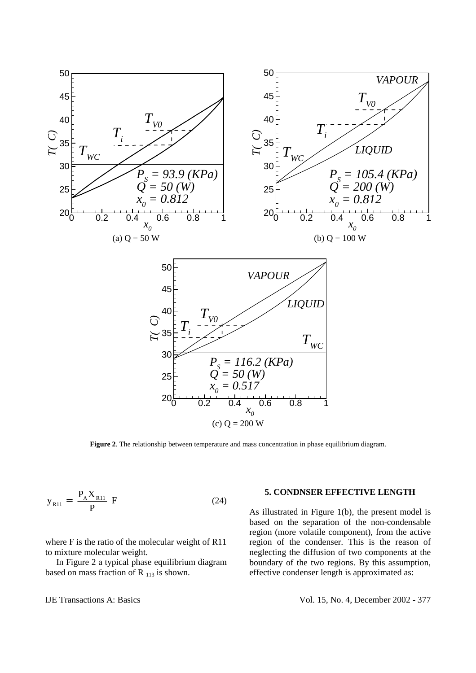

**Figure 2.** The relationship between temperature and mass concentration in phase equilibrium diagram.

$$
y_{R11} = \left[\frac{P_A X_{R11}}{P}\right] F
$$
 (24)

where F is the ratio of the molecular weight of R11 to mixture molecular weight.

 In Figure 2 a typical phase equilibrium diagram based on mass fraction of R  $_{113}$  is shown.

#### **5. CONDNSER EFFECTIVE LENGTH**

As illustrated in Figure 1(b), the present model is based on the separation of the non-condensable region (more volatile component), from the active region of the condenser. This is the reason of neglecting the diffusion of two components at the boundary of the two regions. By this assumption, effective condenser length is approximated as: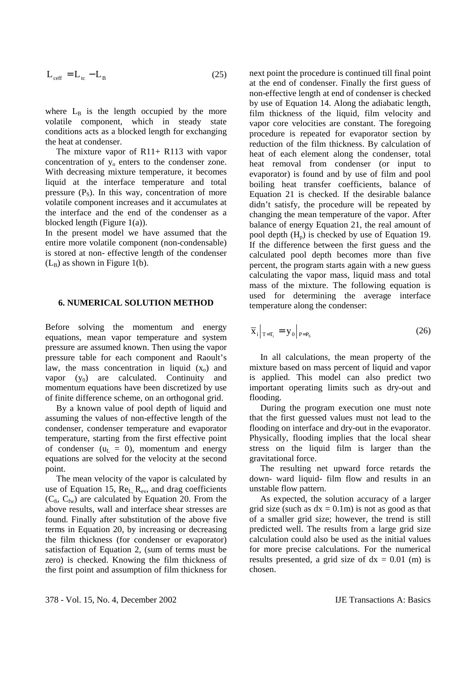$$
L_{\text{eff}} = L_{\text{tc}} - L_{\text{B}}
$$
 (25)

where  $L_B$  is the length occupied by the more volatile component, which in steady state conditions acts as a blocked length for exchanging the heat at condenser.

The mixture vapor of R11+ R113 with vapor concentration of  $y_0$  enters to the condenser zone. With decreasing mixture temperature, it becomes liquid at the interface temperature and total pressure  $(P_s)$ . In this way, concentration of more volatile component increases and it accumulates at the interface and the end of the condenser as a blocked length (Figure 1(a)).

In the present model we have assumed that the entire more volatile component (non-condensable) is stored at non- effective length of the condenser  $(L_B)$  as shown in Figure 1(b).

### **6. NUMERICAL SOLUTION METHOD**

Before solving the momentum and energy equations, mean vapor temperature and system pressure are assumed known. Then using the vapor pressure table for each component and Raoult's law, the mass concentration in liquid  $(x_0)$  and vapor  $(y_0)$  are calculated. Continuity and momentum equations have been discretized by use of finite difference scheme, on an orthogonal grid.

 By a known value of pool depth of liquid and assuming the values of non-effective length of the condenser, condenser temperature and evaporator temperature, starting from the first effective point of condenser  $(u_L = 0)$ , momentum and energy equations are solved for the velocity at the second point.

 The mean velocity of the vapor is calculated by use of Equation 15,  $Re<sub>L</sub>$ ,  $Re<sub>v</sub>$ , and drag coefficients  $(C_{fi}, C_{fw})$  are calculated by Equation 20. From the above results, wall and interface shear stresses are found. Finally after substitution of the above five terms in Equation 20, by increasing or decreasing the film thickness (for condenser or evaporator) satisfaction of Equation 2, (sum of terms must be zero) is checked. Knowing the film thickness of the first point and assumption of film thickness for next point the procedure is continued till final point at the end of condenser. Finally the first guess of non-effective length at end of condenser is checked by use of Equation 14. Along the adiabatic length, film thickness of the liquid, film velocity and vapor core velocities are constant. The foregoing procedure is repeated for evaporator section by reduction of the film thickness. By calculation of heat of each element along the condenser, total heat removal from condenser (or input to evaporator) is found and by use of film and pool boiling heat transfer coefficients, balance of Equation 21 is checked. If the desirable balance didn't satisfy, the procedure will be repeated by changing the mean temperature of the vapor. After balance of energy Equation 21, the real amount of pool depth  $(H_n)$  is checked by use of Equation 19. If the difference between the first guess and the calculated pool depth becomes more than five percent, the program starts again with a new guess calculating the vapor mass, liquid mass and total mass of the mixture. The following equation is used for determining the average interface temperature along the condenser:

$$
\overline{\mathbf{x}}_i \big|_{\mathbf{T} = \mathbf{T}_i} = \mathbf{y}_0 \big|_{\mathbf{P} = \mathbf{P}_\mathbf{S}} \tag{26}
$$

 In all calculations, the mean property of the mixture based on mass percent of liquid and vapor is applied. This model can also predict two important operating limits such as dry-out and flooding.

 During the program execution one must note that the first guessed values must not lead to the flooding on interface and dry-out in the evaporator. Physically, flooding implies that the local shear stress on the liquid film is larger than the gravitational force.

 The resulting net upward force retards the down- ward liquid- film flow and results in an unstable flow pattern.

 As expected, the solution accuracy of a larger grid size (such as  $dx = 0.1$ m) is not as good as that of a smaller grid size; however, the trend is still predicted well. The results from a large grid size calculation could also be used as the initial values for more precise calculations. For the numerical results presented, a grid size of  $dx = 0.01$  (m) is chosen.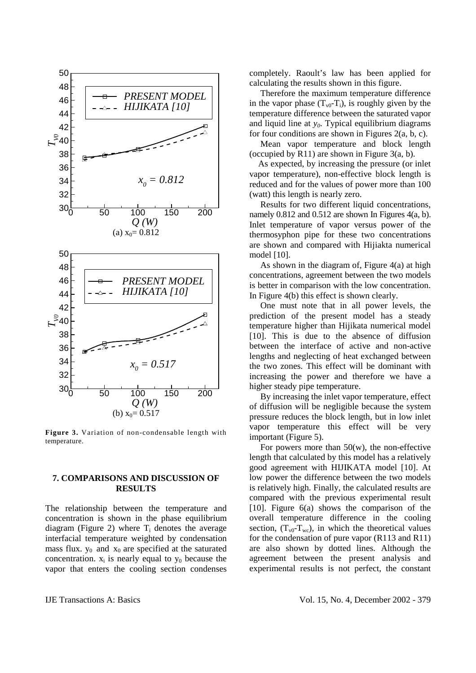

**Figure 3.** Variation of non-condensable length with temperature.

## **7. COMPARISONS AND DISCUSSION OF RESULTS**

The relationship between the temperature and concentration is shown in the phase equilibrium diagram (Figure 2) where  $T_i$  denotes the average interfacial temperature weighted by condensation mass flux.  $y_0$  and  $x_0$  are specified at the saturated concentration.  $x_i$  is nearly equal to  $y_0$  because the vapor that enters the cooling section condenses

completely. Raoult's law has been applied for calculating the results shown in this figure.

 Therefore the maximum temperature difference in the vapor phase  $(T_{v0} - T_i)$ , is roughly given by the temperature difference between the saturated vapor and liquid line at  $y_0$ . Typical equilibrium diagrams for four conditions are shown in Figures 2(a, b, c).

 Mean vapor temperature and block length (occupied by R11) are shown in Figure  $3(a, b)$ .

 As expected, by increasing the pressure (or inlet vapor temperature), non-effective block length is reduced and for the values of power more than 100 (watt) this length is nearly zero.

 Results for two different liquid concentrations, namely 0.812 and 0.512 are shown In Figures 4(a, b). Inlet temperature of vapor versus power of the thermosyphon pipe for these two concentrations are shown and compared with Hijiakta numerical model [10].

As shown in the diagram of, Figure  $4(a)$  at high concentrations, agreement between the two models is better in comparison with the low concentration. In Figure 4(b) this effect is shown clearly.

 One must note that in all power levels, the prediction of the present model has a steady temperature higher than Hijikata numerical model [10]. This is due to the absence of diffusion between the interface of active and non-active lengths and neglecting of heat exchanged between the two zones. This effect will be dominant with increasing the power and therefore we have a higher steady pipe temperature.

 By increasing the inlet vapor temperature, effect of diffusion will be negligible because the system pressure reduces the block length, but in low inlet vapor temperature this effect will be very important (Figure 5).

For powers more than  $50(w)$ , the non-effective length that calculated by this model has a relatively good agreement with HIJIKATA model [10]. At low power the difference between the two models is relatively high. Finally, the calculated results are compared with the previous experimental result [10]. Figure 6(a) shows the comparison of the overall temperature difference in the cooling section,  $(T_{\rm v0}-T_{\rm wc})$ , in which the theoretical values for the condensation of pure vapor (R113 and R11) are also shown by dotted lines. Although the agreement between the present analysis and experimental results is not perfect, the constant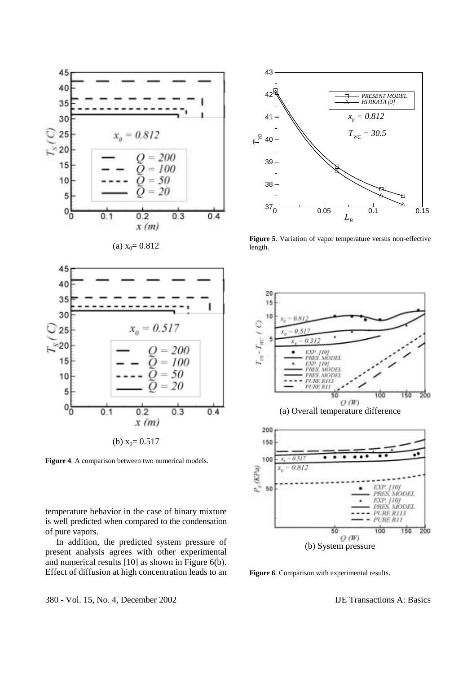

(a) 
$$
x_0 = 0.812
$$



**Figure 4**. A comparison between two numerical models.

temperature behavior in the case of binary mixture is well predicted when compared to the condensation of pure vapors.

 In addition, the predicted system pressure of present analysis agrees with other experimental and numerical results [10] as shown in Figure 6(b). Effect of diffusion at high concentration leads to an



**Figure 5**. Variation of vapor temperature versus non-effective length.



**Figure 6**. Comparison with experimental results.

380 - Vol. 15, No. 4, December 2002 IJE Transactions A: Basics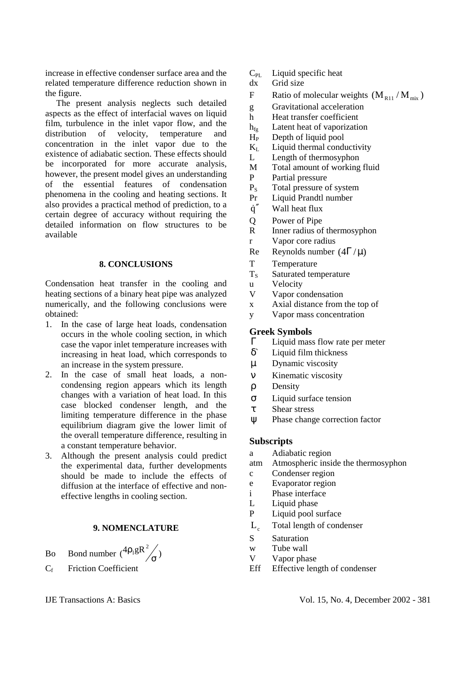increase in effective condenser surface area and the related temperature difference reduction shown in the figure.

 The present analysis neglects such detailed aspects as the effect of interfacial waves on liquid film, turbulence in the inlet vapor flow, and the distribution of velocity, temperature and concentration in the inlet vapor due to the existence of adiabatic section. These effects should be incorporated for more accurate analysis, however, the present model gives an understanding of the essential features of condensation phenomena in the cooling and heating sections. It also provides a practical method of prediction, to a certain degree of accuracy without requiring the detailed information on flow structures to be available

## **8. CONCLUSIONS**

Condensation heat transfer in the cooling and heating sections of a binary heat pipe was analyzed numerically, and the following conclusions were obtained:

- 1. In the case of large heat loads, condensation occurs in the whole cooling section, in which case the vapor inlet temperature increases with increasing in heat load, which corresponds to an increase in the system pressure.
- 2. In the case of small heat loads, a noncondensing region appears which its length changes with a variation of heat load. In this case blocked condenser length, and the limiting temperature difference in the phase equilibrium diagram give the lower limit of the overall temperature difference, resulting in a constant temperature behavior.
- 3. Although the present analysis could predict the experimental data, further developments should be made to include the effects of diffusion at the interface of effective and noneffective lengths in cooling section.

## **9. NOMENCLATURE**

- Bo Bond number  $\left({}^{4\rho_1 gR^2}\right)_{\sigma}$ ρ
- $C_f$  Friction Coefficient

# $C_{\text{PL}}$  Liquid specific heat

- dx Grid size
- F Ratio of molecular weights  $(M_{R11}/M_{mix})$
- g Gravitational acceleration
- h Heat transfer coefficient
- $h_{\text{fo}}$  Latent heat of vaporization
- $H<sub>P</sub>$  Depth of liquid pool
- $K<sub>L</sub>$  Liquid thermal conductivity
- L Length of thermosyphon
- M Total amount of working fluid
- P Partial pressure
- PS Total pressure of system
- Pr Liquid Prandtl number
- $\dot{q}''$  Wall heat flux
- Q Power of Pipe
- R Inner radius of thermosyphon
- r Vapor core radius
- Re Reynolds number  $(4\Gamma/\mu)$
- T Temperature
- $T<sub>S</sub>$  Saturated temperature
- u Velocity
- V Vapor condensation
- x Axial distance from the top of
- y Vapor mass concentration

## **Greek Symbols**

- Γ Liquid mass flow rate per meter
- δ` Liquid film thickness
- µ Dynamic viscosity
- ν Kinematic viscosity
- ρ Density
- σ Liquid surface tension
- τ Shear stress
- ψ Phase change correction factor

# **Subscripts**

- a Adiabatic region
- atm Atmospheric inside the thermosyphon
- c Condenser region
- e Evaporator region
- i Phase interface
- L Liquid phase
- P Liquid pool surface
- $L_c$  Total length of condenser
- S Saturation
- w Tube wall
- V Vapor phase
- Eff Effective length of condenser